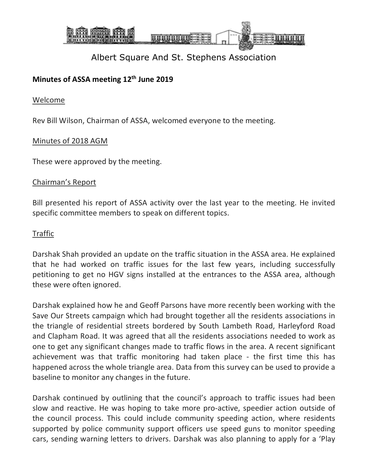

### **Minutes of ASSA meeting 12th June 2019**

#### Welcome

Rev Bill Wilson, Chairman of ASSA, welcomed everyone to the meeting.

#### Minutes of 2018 AGM

These were approved by the meeting.

#### Chairman's Report

Bill presented his report of ASSA activity over the last year to the meeting. He invited specific committee members to speak on different topics.

#### Traffic

Darshak Shah provided an update on the traffic situation in the ASSA area. He explained that he had worked on traffic issues for the last few years, including successfully petitioning to get no HGV signs installed at the entrances to the ASSA area, although these were often ignored.

Darshak explained how he and Geoff Parsons have more recently been working with the Save Our Streets campaign which had brought together all the residents associations in the triangle of residential streets bordered by South Lambeth Road, Harleyford Road and Clapham Road. It was agreed that all the residents associations needed to work as one to get any significant changes made to traffic flows in the area. A recent significant achievement was that traffic monitoring had taken place - the first time this has happened across the whole triangle area. Data from this survey can be used to provide a baseline to monitor any changes in the future.

Darshak continued by outlining that the council's approach to traffic issues had been slow and reactive. He was hoping to take more pro-active, speedier action outside of the council process. This could include community speeding action, where residents supported by police community support officers use speed guns to monitor speeding cars, sending warning letters to drivers. Darshak was also planning to apply for a 'Play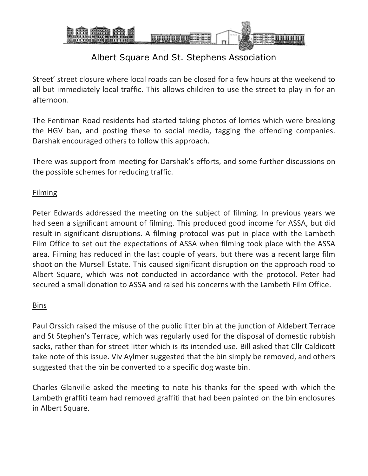

Street' street closure where local roads can be closed for a few hours at the weekend to all but immediately local traffic. This allows children to use the street to play in for an afternoon.

The Fentiman Road residents had started taking photos of lorries which were breaking the HGV ban, and posting these to social media, tagging the offending companies. Darshak encouraged others to follow this approach.

There was support from meeting for Darshak's efforts, and some further discussions on the possible schemes for reducing traffic.

### **Filming**

Peter Edwards addressed the meeting on the subject of filming. In previous years we had seen a significant amount of filming. This produced good income for ASSA, but did result in significant disruptions. A filming protocol was put in place with the Lambeth Film Office to set out the expectations of ASSA when filming took place with the ASSA area. Filming has reduced in the last couple of years, but there was a recent large film shoot on the Mursell Estate. This caused significant disruption on the approach road to Albert Square, which was not conducted in accordance with the protocol. Peter had secured a small donation to ASSA and raised his concerns with the Lambeth Film Office.

#### **Bins**

Paul Orssich raised the misuse of the public litter bin at the junction of Aldebert Terrace and St Stephen's Terrace, which was regularly used for the disposal of domestic rubbish sacks, rather than for street litter which is its intended use. Bill asked that Cllr Caldicott take note of this issue. Viv Aylmer suggested that the bin simply be removed, and others suggested that the bin be converted to a specific dog waste bin.

Charles Glanville asked the meeting to note his thanks for the speed with which the Lambeth graffiti team had removed graffiti that had been painted on the bin enclosures in Albert Square.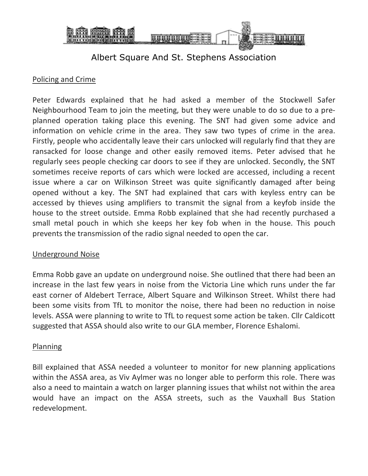

#### Policing and Crime

Peter Edwards explained that he had asked a member of the Stockwell Safer Neighbourhood Team to join the meeting, but they were unable to do so due to a preplanned operation taking place this evening. The SNT had given some advice and information on vehicle crime in the area. They saw two types of crime in the area. Firstly, people who accidentally leave their cars unlocked will regularly find that they are ransacked for loose change and other easily removed items. Peter advised that he regularly sees people checking car doors to see if they are unlocked. Secondly, the SNT sometimes receive reports of cars which were locked are accessed, including a recent issue where a car on Wilkinson Street was quite significantly damaged after being opened without a key. The SNT had explained that cars with keyless entry can be accessed by thieves using amplifiers to transmit the signal from a keyfob inside the house to the street outside. Emma Robb explained that she had recently purchased a small metal pouch in which she keeps her key fob when in the house. This pouch prevents the transmission of the radio signal needed to open the car.

#### Underground Noise

Emma Robb gave an update on underground noise. She outlined that there had been an increase in the last few years in noise from the Victoria Line which runs under the far east corner of Aldebert Terrace, Albert Square and Wilkinson Street. Whilst there had been some visits from TfL to monitor the noise, there had been no reduction in noise levels. ASSA were planning to write to TfL to request some action be taken. Cllr Caldicott suggested that ASSA should also write to our GLA member, Florence Eshalomi.

#### Planning

Bill explained that ASSA needed a volunteer to monitor for new planning applications within the ASSA area, as Viv Aylmer was no longer able to perform this role. There was also a need to maintain a watch on larger planning issues that whilst not within the area would have an impact on the ASSA streets, such as the Vauxhall Bus Station redevelopment.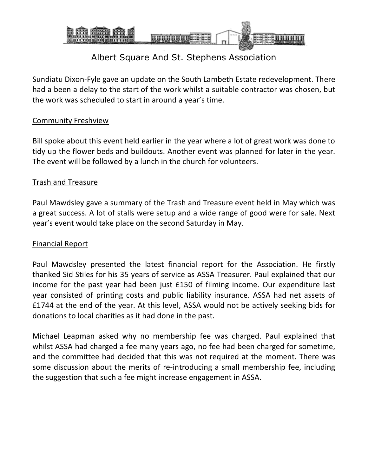

Sundiatu Dixon-Fyle gave an update on the South Lambeth Estate redevelopment. There had a been a delay to the start of the work whilst a suitable contractor was chosen, but the work was scheduled to start in around a year's time.

### Community Freshview

Bill spoke about this event held earlier in the year where a lot of great work was done to tidy up the flower beds and buildouts. Another event was planned for later in the year. The event will be followed by a lunch in the church for volunteers.

#### Trash and Treasure

Paul Mawdsley gave a summary of the Trash and Treasure event held in May which was a great success. A lot of stalls were setup and a wide range of good were for sale. Next year's event would take place on the second Saturday in May.

#### Financial Report

Paul Mawdsley presented the latest financial report for the Association. He firstly thanked Sid Stiles for his 35 years of service as ASSA Treasurer. Paul explained that our income for the past year had been just £150 of filming income. Our expenditure last year consisted of printing costs and public liability insurance. ASSA had net assets of £1744 at the end of the year. At this level, ASSA would not be actively seeking bids for donations to local charities as it had done in the past.

Michael Leapman asked why no membership fee was charged. Paul explained that whilst ASSA had charged a fee many years ago, no fee had been charged for sometime, and the committee had decided that this was not required at the moment. There was some discussion about the merits of re-introducing a small membership fee, including the suggestion that such a fee might increase engagement in ASSA.